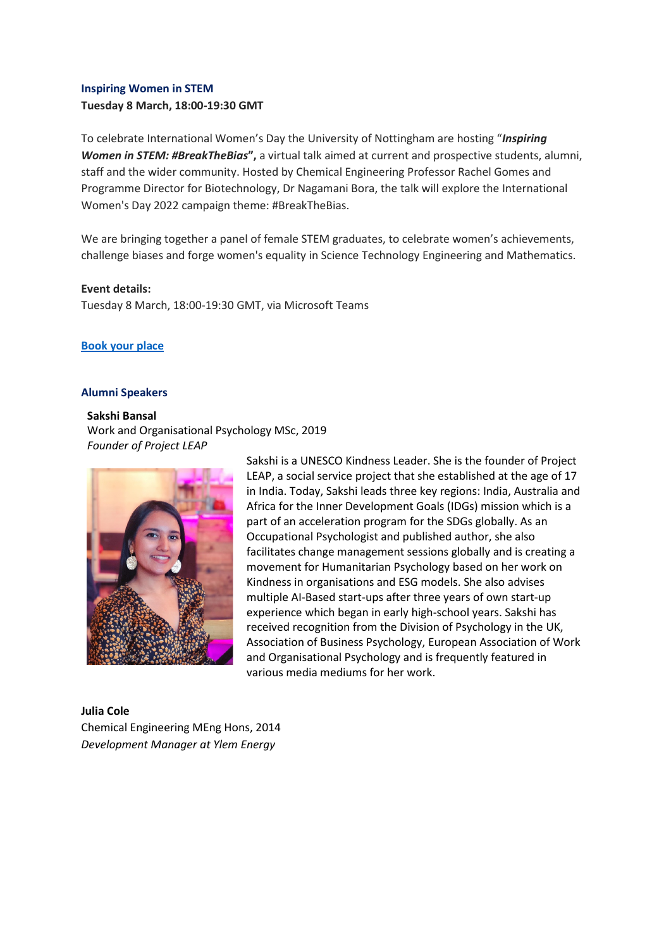#### **Inspiring Women in STEM**

**Tuesday 8 March, 18:00-19:30 GMT**

To celebrate International Women's Day the University of Nottingham are hosting "*Inspiring Women in STEM: #BreakTheBias***",** a virtual talk aimed at current and prospective students, alumni, staff and the wider community. Hosted by Chemical Engineering Professor Rachel Gomes and Programme Director for Biotechnology, Dr Nagamani Bora, the talk will explore the International Women's Day 2022 campaign theme: #BreakTheBias.

We are bringing together a panel of female STEM graduates, to celebrate women's achievements, challenge biases and forge women's equality in Science Technology Engineering and Mathematics.

#### **Event details:**

Tuesday 8 March, 18:00-19:30 GMT, via Microsoft Teams

# **[Book your place](https://forms.office.com/r/PLaXbRjAfr)**

#### **Alumni Speakers**

# **Sakshi Bansal**

Work and Organisational Psychology MSc, 2019 *Founder of Project LEAP*



Sakshi is a UNESCO Kindness Leader. She is the founder of Project LEAP, a social service project that she established at the age of 17 in India. Today, Sakshi leads three key regions: India, Australia and Africa for the Inner Development Goals (IDGs) mission which is a part of an acceleration program for the SDGs globally. As an Occupational Psychologist and published author, she also facilitates change management sessions globally and is creating a movement for Humanitarian Psychology based on her work on Kindness in organisations and ESG models. She also advises multiple AI-Based start-ups after three years of own start-up experience which began in early high-school years. Sakshi has received recognition from the Division of Psychology in the UK, Association of Business Psychology, European Association of Work and Organisational Psychology and is frequently featured in various media mediums for her work.

# **Julia Cole** Chemical Engineering MEng Hons, 2014 *Development Manager at Ylem Energy*